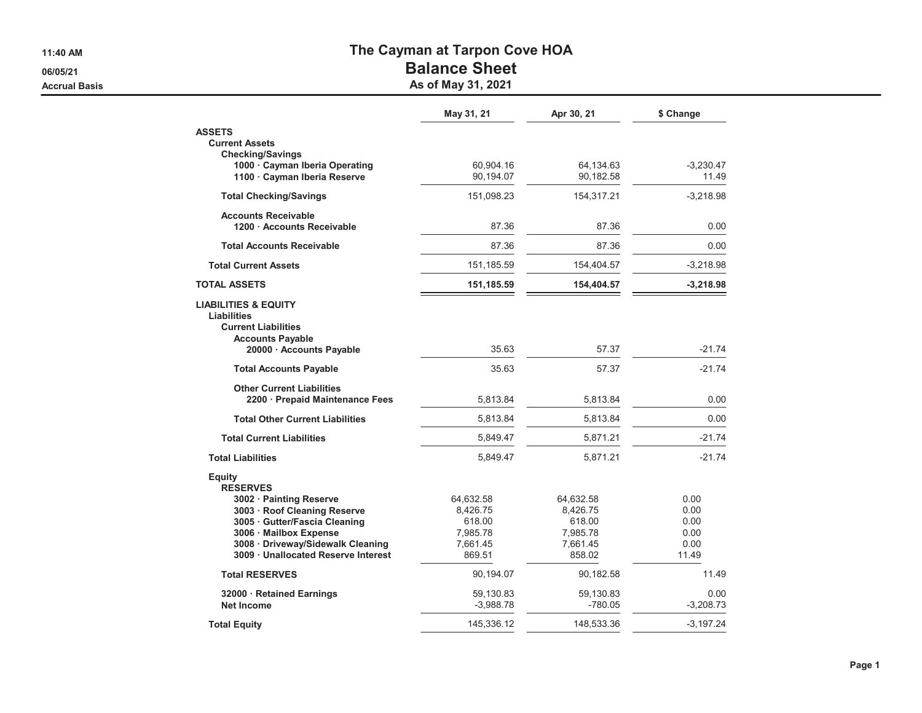**11:40 AM**

**06/05/21**

**Accrual Basis**

## **The Cayman at Tarpon Cove HOA**

## **Balance Sheet**

**As of May 31, 2021**

|                                                  | May 31, 21  | Apr 30, 21 | \$ Change   |
|--------------------------------------------------|-------------|------------|-------------|
| <b>ASSETS</b>                                    |             |            |             |
| <b>Current Assets</b><br><b>Checking/Savings</b> |             |            |             |
| 1000 Cayman Iberia Operating                     | 60.904.16   | 64,134.63  | $-3,230.47$ |
| 1100 · Cayman Iberia Reserve                     | 90,194.07   | 90,182.58  | 11.49       |
| <b>Total Checking/Savings</b>                    | 151,098.23  | 154,317.21 | $-3,218.98$ |
| <b>Accounts Receivable</b>                       |             |            |             |
| 1200 Accounts Receivable                         | 87.36       | 87.36      | 0.00        |
| <b>Total Accounts Receivable</b>                 | 87.36       | 87.36      | 0.00        |
| <b>Total Current Assets</b>                      | 151,185.59  | 154,404.57 | $-3,218.98$ |
| <b>TOTAL ASSETS</b>                              | 151,185.59  | 154,404.57 | $-3,218.98$ |
| <b>LIABILITIES &amp; EQUITY</b>                  |             |            |             |
| Liabilities                                      |             |            |             |
| <b>Current Liabilities</b>                       |             |            |             |
| <b>Accounts Payable</b>                          |             |            |             |
| 20000 · Accounts Payable                         | 35.63       | 57.37      | $-21.74$    |
| <b>Total Accounts Payable</b>                    | 35.63       | 57.37      | $-21.74$    |
| <b>Other Current Liabilities</b>                 |             |            |             |
| 2200 · Prepaid Maintenance Fees                  | 5,813.84    | 5,813.84   | 0.00        |
| <b>Total Other Current Liabilities</b>           | 5,813.84    | 5,813.84   | 0.00        |
| <b>Total Current Liabilities</b>                 | 5,849.47    | 5,871.21   | $-21.74$    |
| <b>Total Liabilities</b>                         | 5,849.47    | 5,871.21   | $-21.74$    |
| Equity                                           |             |            |             |
| <b>RESERVES</b>                                  |             |            |             |
| 3002 · Painting Reserve                          | 64,632.58   | 64,632.58  | 0.00        |
| 3003 · Roof Cleaning Reserve                     | 8,426.75    | 8,426.75   | 0.00        |
| 3005 Gutter/Fascia Cleaning                      | 618.00      | 618.00     | 0.00        |
| 3006 · Mailbox Expense                           | 7,985.78    | 7,985.78   | 0.00        |
| 3008 · Driveway/Sidewalk Cleaning                | 7,661.45    | 7,661.45   | 0.00        |
| 3009 · Unallocated Reserve Interest              | 869.51      | 858.02     | 11.49       |
| <b>Total RESERVES</b>                            | 90,194.07   | 90,182.58  | 11.49       |
| 32000 · Retained Earnings                        | 59,130.83   | 59,130.83  | 0.00        |
| <b>Net Income</b>                                | $-3,988.78$ | $-780.05$  | $-3,208.73$ |
| <b>Total Equity</b>                              | 145,336.12  | 148,533.36 | $-3,197.24$ |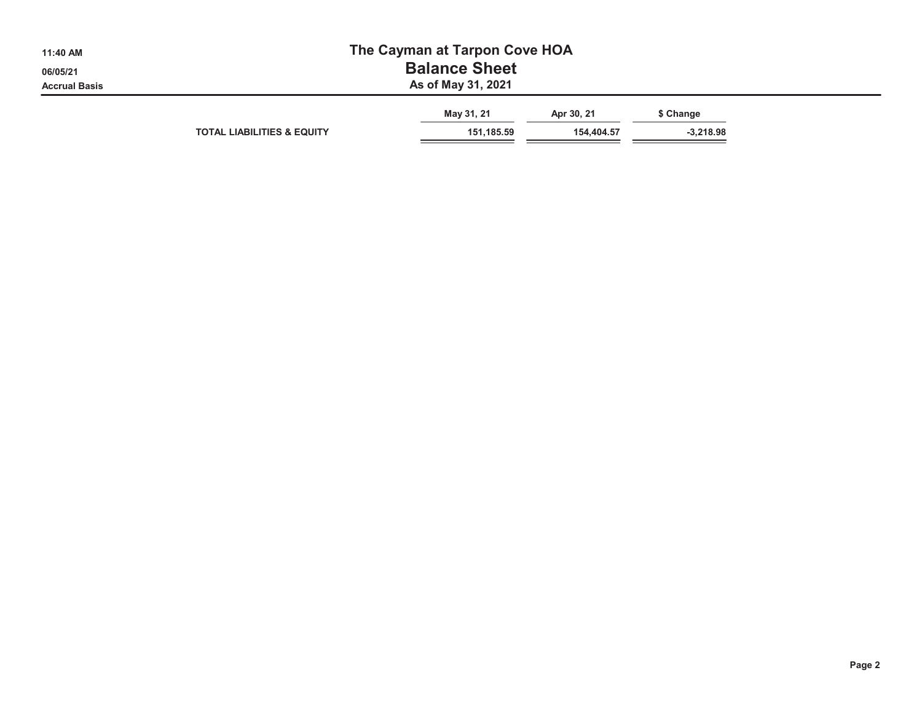| 11:40 AM             | The Cayman at Tarpon Cove HOA         |                          |                          |                          |  |  |  |  |  |
|----------------------|---------------------------------------|--------------------------|--------------------------|--------------------------|--|--|--|--|--|
| 06/05/21             | <b>Balance Sheet</b>                  |                          |                          |                          |  |  |  |  |  |
| <b>Accrual Basis</b> | As of May 31, 2021                    |                          |                          |                          |  |  |  |  |  |
|                      | <b>TOTAL LIABILITIES &amp; EQUITY</b> | May 31, 21<br>151,185.59 | Apr 30, 21<br>154.404.57 | \$ Change<br>$-3,218.98$ |  |  |  |  |  |